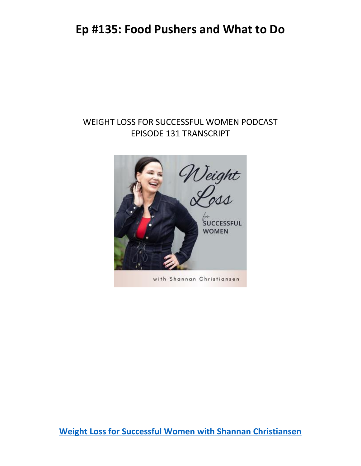#### WEIGHT LOSS FOR SUCCESSFUL WOMEN PODCAST EPISODE 131 TRANSCRIPT



with Shannan Christiansen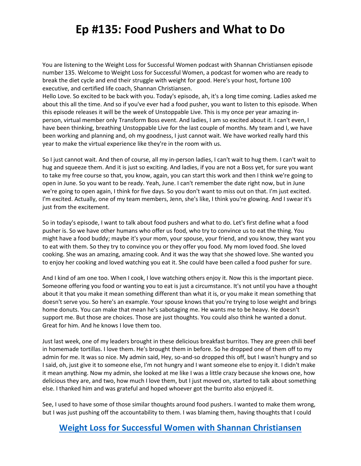You are listening to the Weight Loss for Successful Women podcast with Shannan Christiansen episode number 135. Welcome to Weight Loss for Successful Women, a podcast for women who are ready to break the diet cycle and end their struggle with weight for good. Here's your host, fortune 100 executive, and certified life coach, Shannan Christiansen.

Hello Love. So excited to be back with you. Today's episode, ah, it's a long time coming. Ladies asked me about this all the time. And so if you've ever had a food pusher, you want to listen to this episode. When this episode releases it will be the week of Unstoppable Live. This is my once per year amazing inperson, virtual member only Transform Boss event. And ladies, I am so excited about it. I can't even, I have been thinking, breathing Unstoppable Live for the last couple of months. My team and I, we have been working and planning and, oh my goodness, I just cannot wait. We have worked really hard this year to make the virtual experience like they're in the room with us.

So I just cannot wait. And then of course, all my in-person ladies, I can't wait to hug them. I can't wait to hug and squeeze them. And it is just so exciting. And ladies, if you are not a Boss yet, for sure you want to take my free course so that, you know, again, you can start this work and then I think we're going to open in June. So you want to be ready. Yeah, June. I can't remember the date right now, but in June we're going to open again, I think for five days. So you don't want to miss out on that. I'm just excited. I'm excited. Actually, one of my team members, Jenn, she's like, I think you're glowing. And I swear it's just from the excitement.

So in today's episode, I want to talk about food pushers and what to do. Let's first define what a food pusher is. So we have other humans who offer us food, who try to convince us to eat the thing. You might have a food buddy; maybe it's your mom, your spouse, your friend, and you know, they want you to eat with them. So they try to convince you or they offer you food. My mom loved food. She loved cooking. She was an amazing, amazing cook. And it was the way that she showed love. She wanted you to enjoy her cooking and loved watching you eat it. She could have been called a food pusher for sure.

And I kind of am one too. When I cook, I love watching others enjoy it. Now this is the important piece. Someone offering you food or wanting you to eat is just a circumstance. It's not until you have a thought about it that you make it mean something different than what it is, or you make it mean something that doesn't serve you. So here's an example. Your spouse knows that you're trying to lose weight and brings home donuts. You can make that mean he's sabotaging me. He wants me to be heavy. He doesn't support me. But those are choices. Those are just thoughts. You could also think he wanted a donut. Great for him. And he knows I love them too.

Just last week, one of my leaders brought in these delicious breakfast burritos. They are green chili beef in homemade tortillas. I love them. He's brought them in before. So he dropped one of them off to my admin for me. It was so nice. My admin said, Hey, so-and-so dropped this off, but I wasn't hungry and so I said, oh, just give it to someone else, I'm not hungry and I want someone else to enjoy it. I didn't make it mean anything. Now my admin, she looked at me like I was a little crazy because she knows one, how delicious they are, and two, how much I love them, but I just moved on, started to talk about something else. I thanked him and was grateful and hoped whoever got the burrito also enjoyed it.

See, I used to have some of those similar thoughts around food pushers. I wanted to make them wrong, but I was just pushing off the accountability to them. I was blaming them, having thoughts that I could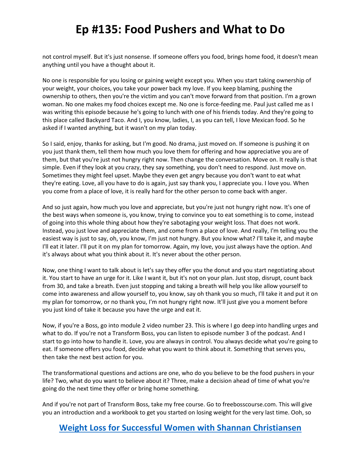not control myself. But it's just nonsense. If someone offers you food, brings home food, it doesn't mean anything until you have a thought about it.

No one is responsible for you losing or gaining weight except you. When you start taking ownership of your weight, your choices, you take your power back my love. If you keep blaming, pushing the ownership to others, then you're the victim and you can't move forward from that position. I'm a grown woman. No one makes my food choices except me. No one is force-feeding me. Paul just called me as I was writing this episode because he's going to lunch with one of his friends today. And they're going to this place called Backyard Taco. And I, you know, ladies, I, as you can tell, I love Mexican food. So he asked if I wanted anything, but it wasn't on my plan today.

So I said, enjoy, thanks for asking, but I'm good. No drama, just moved on. If someone is pushing it on you just thank them, tell them how much you love them for offering and how appreciative you are of them, but that you're just not hungry right now. Then change the conversation. Move on. It really is that simple. Even if they look at you crazy, they say something, you don't need to respond. Just move on. Sometimes they might feel upset. Maybe they even get angry because you don't want to eat what they're eating. Love, all you have to do is again, just say thank you, I appreciate you. I love you. When you come from a place of love, it is really hard for the other person to come back with anger.

And so just again, how much you love and appreciate, but you're just not hungry right now. It's one of the best ways when someone is, you know, trying to convince you to eat something is to come, instead of going into this whole thing about how they're sabotaging your weight loss. That does not work. Instead, you just love and appreciate them, and come from a place of love. And really, I'm telling you the easiest way is just to say, oh, you know, I'm just not hungry. But you know what? I'll take it, and maybe I'll eat it later. I'll put it on my plan for tomorrow. Again, my love, you just always have the option. And it's always about what you think about it. It's never about the other person.

Now, one thing I want to talk about is let's say they offer you the donut and you start negotiating about it. You start to have an urge for it. Like I want it, but it's not on your plan. Just stop, disrupt, count back from 30, and take a breath. Even just stopping and taking a breath will help you like allow yourself to come into awareness and allow yourself to, you know, say oh thank you so much, I'll take it and put it on my plan for tomorrow, or no thank you, I'm not hungry right now. It'll just give you a moment before you just kind of take it because you have the urge and eat it.

Now, if you're a Boss, go into module 2 video number 23. This is where I go deep into handling urges and what to do. If you're not a Transform Boss, you can listen to episode number 3 of the podcast. And I start to go into how to handle it. Love, you are always in control. You always decide what you're going to eat. If someone offers you food, decide what you want to think about it. Something that serves you, then take the next best action for you.

The transformational questions and actions are one, who do you believe to be the food pushers in your life? Two, what do you want to believe about it? Three, make a decision ahead of time of what you're going do the next time they offer or bring home something.

And if you're not part of Transform Boss, take my free course. Go to freebosscourse.com. This will give you an introduction and a workbook to get you started on losing weight for the very last time. Ooh, so